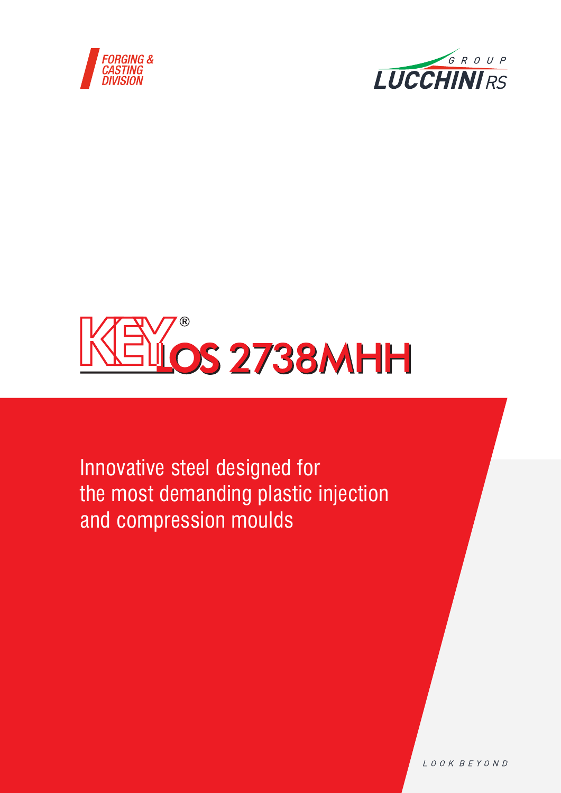





Innovative steel designed for the most demanding plastic injection and compression moulds

LOOK BEYOND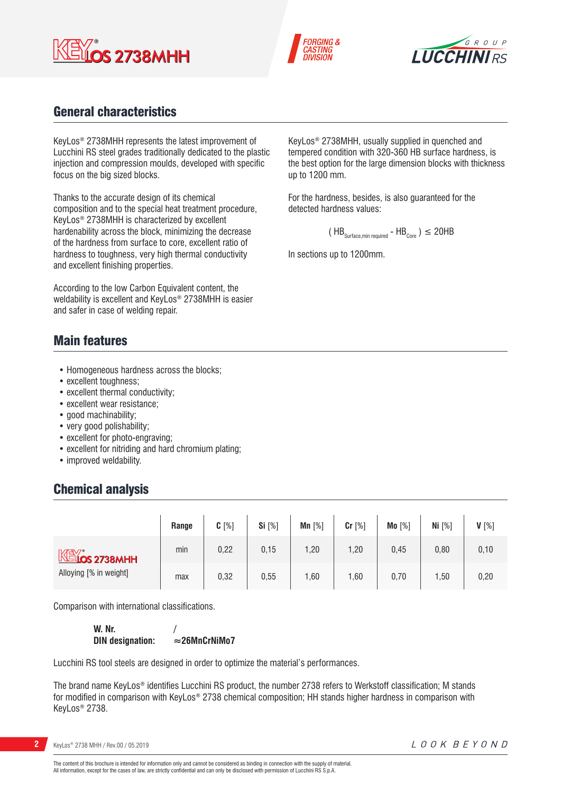



up to 1200 mm.

detected hardness values:

In sections up to 1200mm.

KeyLos® 2738MHH, usually supplied in quenched and tempered condition with 320-360 HB surface hardness, is the best option for the large dimension blocks with thickness

For the hardness, besides, is also guaranteed for the

 $(HB_{\text{Surface,min required}} - HB_{\text{Core}}) \leq 20HB$ 



# General characteristics

KeyLos® 2738MHH represents the latest improvement of Lucchini RS steel grades traditionally dedicated to the plastic injection and compression moulds, developed with specific focus on the big sized blocks.

Thanks to the accurate design of its chemical composition and to the special heat treatment procedure, KeyLos® 2738MHH is characterized by excellent hardenability across the block, minimizing the decrease of the hardness from surface to core, excellent ratio of hardness to toughness, very high thermal conductivity and excellent finishing properties.

According to the low Carbon Equivalent content, the weldability is excellent and KeyLos® 2738MHH is easier and safer in case of welding repair.

# Main features

- Homogeneous hardness across the blocks;
- excellent toughness;
- excellent thermal conductivity;
- excellent wear resistance;
- good machinability;
- very good polishability;
- excellent for photo-engraving;
- excellent for nitriding and hard chromium plating;
- improved weldability.

# Chemical analysis

|                                        | Range | $C[\%]$ | Si $[%]$ | Mn $[%]$ | Cr [%] | Mo [%] | Ni $[%]$ | $V[\%]$ |
|----------------------------------------|-------|---------|----------|----------|--------|--------|----------|---------|
| $M*$ 2738MHH<br>Alloying [% in weight] | min   | 0,22    | 0, 15    | 1,20     | 1,20   | 0,45   | 0,80     | 0, 10   |
|                                        | max   | 0,32    | 0,55     | ,60      | 1,60   | 0,70   | 1,50     | 0,20    |

Comparison with international classifications.

**W. Nr. / DIN designation:**  $≈26MnCrNiMo7$ 

Lucchini RS tool steels are designed in order to optimize the material's performances.

The brand name KeyLos® identifies Lucchini RS product, the number 2738 refers to Werkstoff classification; M stands for modified in comparison with KeyLos® 2738 chemical composition; HH stands higher hardness in comparison with KeyLos® 2738.

**2** KeyLos® 2738 MHH / Rev.00 / 05.2019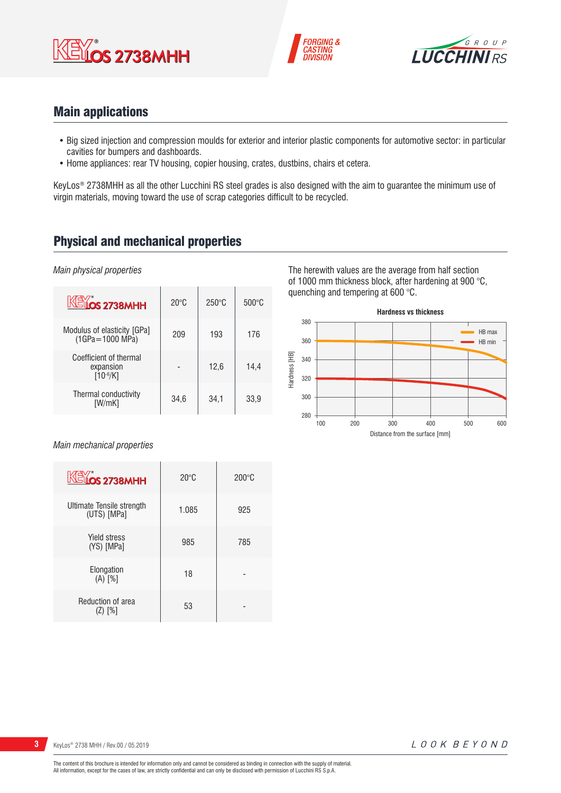





# Main applications

- Big sized injection and compression moulds for exterior and interior plastic components for automotive sector: in particular cavities for bumpers and dashboards.
- Home appliances: rear TV housing, copier housing, crates, dustbins, chairs et cetera.

KeyLos® 2738MHH as all the other Lucchini RS steel grades is also designed with the aim to guarantee the minimum use of virgin materials, moving toward the use of scrap categories difficult to be recycled.

# Physical and mechanical properties

*Main physical properties*

| <b>KEYOS 2738MHH</b>                                 | $20^{\circ}$ C | $250^\circ C$ | $500^{\circ}$ C |
|------------------------------------------------------|----------------|---------------|-----------------|
| Modulus of elasticity [GPa]<br>(1GPa=1000 MPa)       | 209            | 193           | 176             |
| Coefficient of thermal<br>expansion<br>$[10^{-6}/K]$ |                | 12,6          | 14.4            |
| Thermal conductivity<br>[W/mK]                       | 34.6           | 34,1          | 33,9            |

The herewith values are the average from half section of 1000 mm thickness block, after hardening at 900 °C, quenching and tempering at 600 °C.



*Main mechanical properties*

| <b>KEY</b> <sub>os</sub> 2738MHH         | $20^{\circ}$ C | $200\degree$ C |
|------------------------------------------|----------------|----------------|
| Ultimate Tensile strength<br>(UTS) [MPa] | 1.085          | 925            |
| Yield stress<br>(YS) [MPa]               | 985            | 785            |
| Elongation<br>$(A)$ <sup>[%]</sup>       | 18             |                |
| Reduction of area<br>(Z) [%]             | 53             |                |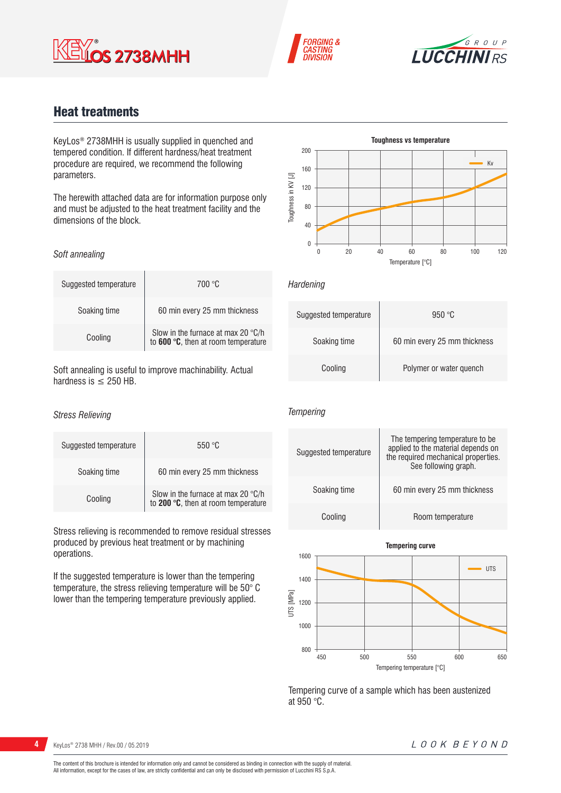





# Heat treatments

KeyLos® 2738MHH is usually supplied in quenched and tempered condition. If different hardness/heat treatment procedure are required, we recommend the following parameters.

The herewith attached data are for information purpose only and must be adjusted to the heat treatment facility and the dimensions of the block.

### *Soft annealing*

| Suggested temperature | 700 °C                                                                    |
|-----------------------|---------------------------------------------------------------------------|
| Soaking time          | 60 min every 25 mm thickness                                              |
| Cooling               | Slow in the furnace at max 20 °C/h<br>to 600 °C, then at room temperature |

Soft annealing is useful to improve machinability. Actual hardness is  $\leq$  250 HB.

#### *Stress Relieving*

| Suggested temperature | 550 °C                                                                             |
|-----------------------|------------------------------------------------------------------------------------|
| Soaking time          | 60 min every 25 mm thickness                                                       |
| Cooling               | Slow in the furnace at max 20 $\degree$ C/h<br>to 200 °C, then at room temperature |

Stress relieving is recommended to remove residual stresses produced by previous heat treatment or by machining operations.

If the suggested temperature is lower than the tempering temperature, the stress relieving temperature will be 50° C lower than the tempering temperature previously applied.



*Hardening*

| Suggested temperature | 950 °C                       |
|-----------------------|------------------------------|
| Soaking time          | 60 min every 25 mm thickness |
| Cooling               | Polymer or water quench      |

## *Tempering*





Tempering curve of a sample which has been austenized at 950 °C.

**4** KeyLos® 2738 MHH / Rev.00 / 05.2019

## LOOK BEYOND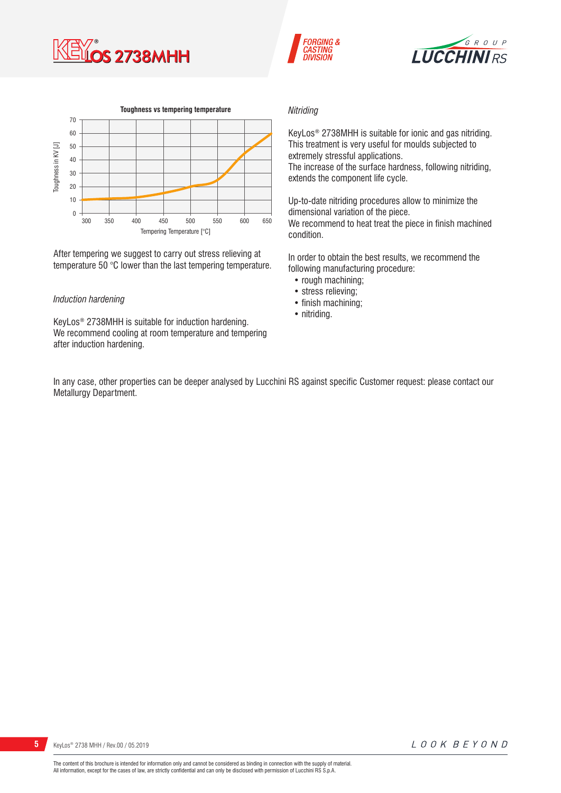







After tempering we suggest to carry out stress relieving at temperature 50 °C lower than the last tempering temperature.

### *Induction hardening*

KeyLos® 2738MHH is suitable for induction hardening. We recommend cooling at room temperature and tempering after induction hardening.

#### *Nitriding*

KeyLos® 2738MHH is suitable for ionic and gas nitriding. This treatment is very useful for moulds subjected to extremely stressful applications. The increase of the surface hardness, following nitriding, extends the component life cycle.

Up-to-date nitriding procedures allow to minimize the dimensional variation of the piece. We recommend to heat treat the piece in finish machined condition.

In order to obtain the best results, we recommend the following manufacturing procedure:

- rough machining:
- stress relieving;
- finish machining;
- nitriding.

In any case, other properties can be deeper analysed by Lucchini RS against specific Customer request: please contact our Metallurgy Department.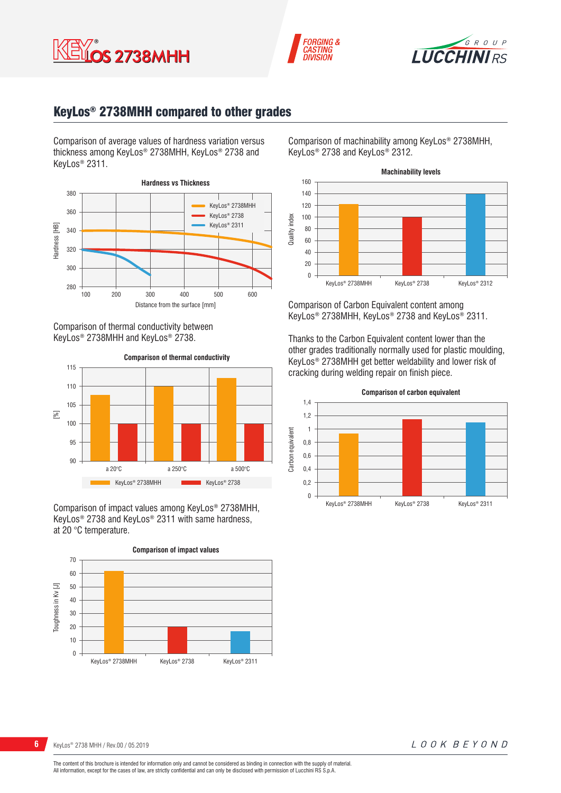





# KeyLos® 2738MHH compared to other grades

Comparison of average values of hardness variation versus thickness among KeyLos® 2738MHH, KeyLos® 2738 and KeyLos® 2311.



Comparison of thermal conductivity between KeyLos® 2738MHH and KeyLos® 2738.



Comparison of impact values among KeyLos® 2738MHH, KeyLos® 2738 and KeyLos® 2311 with same hardness, at 20 °C temperature.



Comparison of machinability among KeyLos® 2738MHH, KeyLos® 2738 and KeyLos® 2312.



Comparison of Carbon Equivalent content among KeyLos® 2738MHH, KeyLos® 2738 and KeyLos® 2311.

Thanks to the Carbon Equivalent content lower than the other grades traditionally normally used for plastic moulding, KeyLos® 2738MHH get better weldability and lower risk of cracking during welding repair on finish piece.



LOOK BEYOND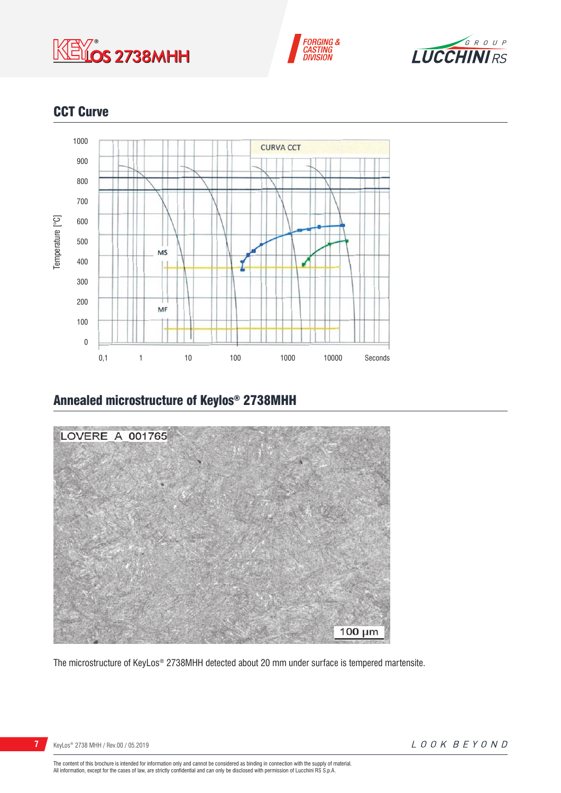





# **CCT Curve**



# Annealed microstructure of Keylos® 2738MHH



The microstructure of KeyLos® 2738MHH detected about 20 mm under surface is tempered martensite.

**7** KeyLos<sup>®</sup> 2738 MHH / Rev.00 / 05.2019

The content of this brochure is intended for information only and cannot be considered as binding in connection with the supply of material.<br>All information, except for the cases of law, are strictly confidential and can o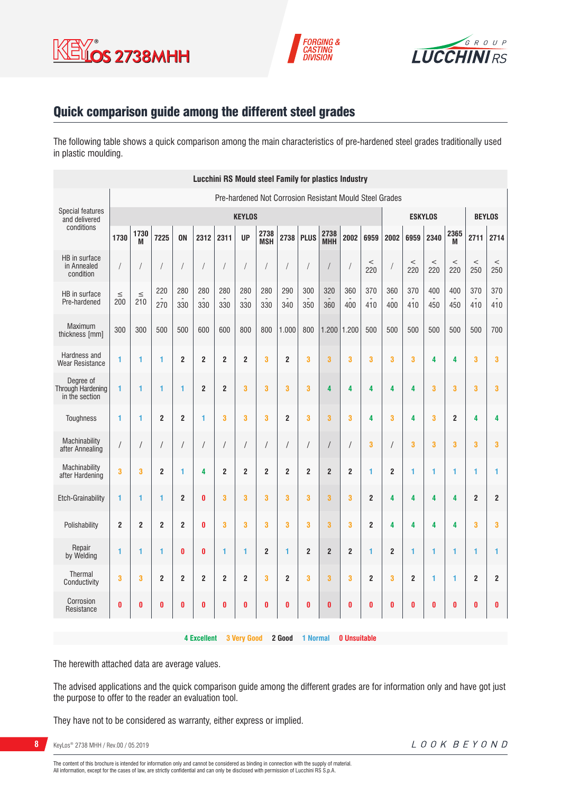





# Quick comparison guide among the different steel grades

The following table shows a quick comparison among the main characteristics of pre-hardened steel grades traditionally used in plastic moulding.

|                                                         | <b>Lucchini RS Mould steel Family for plastics Industry</b> |                      |                |                |                    |                         |                    |                         |                |                |                    |                         |                         |                |                |                |                |                |                         |
|---------------------------------------------------------|-------------------------------------------------------------|----------------------|----------------|----------------|--------------------|-------------------------|--------------------|-------------------------|----------------|----------------|--------------------|-------------------------|-------------------------|----------------|----------------|----------------|----------------|----------------|-------------------------|
| Pre-hardened Not Corrosion Resistant Mould Steel Grades |                                                             |                      |                |                |                    |                         |                    |                         |                |                |                    |                         |                         |                |                |                |                |                |                         |
| <b>Special features</b><br>and delivered                |                                                             | <b>KEYLOS</b>        |                |                |                    |                         |                    |                         |                | <b>ESKYLOS</b> |                    |                         |                         | <b>BEYLOS</b>  |                |                |                |                |                         |
| conditions                                              | 1730                                                        | 1730<br>M            | 7225           | <b>ON</b>      | 2312               | 2311                    | <b>UP</b>          | 2738<br><b>MSH</b>      | 2738           | <b>PLUS</b>    | 2738<br><b>MHH</b> | 2002                    | 6959                    | 2002           | 6959           | 2340           | 2365<br>M      | 2711           | 2714                    |
| HB in surface<br>in Annealed<br>condition               | 1                                                           | $\sqrt{2}$           |                | 1              | $\sqrt{2}$         | $\sqrt{2}$              | $\sqrt{2}$         | $\sqrt{2}$              | $\sqrt{2}$     |                |                    |                         | $\,<$<br>220            |                | $\,<$<br>220   | $\,<$<br>220   | $\,<$<br>220   | $\,<$<br>250   | $\,<$<br>250            |
| HB in surface<br>Pre-hardened                           | $\leq$<br>200                                               | $\leq$<br>210        | 220<br>270     | 280<br>330     | 280<br>330         | 280<br>330              | 280<br>330         | 280<br>330              | 290<br>340     | 300<br>350     | 320<br>360         | 360<br>400              | 370<br>410              | 360<br>400     | 370<br>410     | 400<br>450     | 400<br>450     | 370<br>410     | 370<br>410              |
| Maximum<br>thickness [mm]                               | 300                                                         | 300                  | 500            | 500            | 600                | 600                     | 800                | 800                     | 1.000          | 800            | 1.200              | 1.200                   | 500                     | 500            | 500            | 500            | 500            | 500            | 700                     |
| Hardness and<br><b>Wear Resistance</b>                  | 1                                                           | 1                    | 1              | $\overline{2}$ | $\boldsymbol{2}$   | $\overline{\mathbf{c}}$ | $\overline{2}$     | 3                       | $\overline{2}$ | 3              | 3                  | 3                       | 3                       | 3              | 3              | 4              | 4              | 3              | 3                       |
| Degree of<br>Through Hardening<br>in the section        | 1                                                           | 1                    | 1              | 1              | $\boldsymbol{2}$   | $\boldsymbol{2}$        | 3                  | 3                       | 3              | 3              | 4                  | 4                       | 4                       | 4              | 4              | 3              | 3              | 3              | 3                       |
| <b>Toughness</b>                                        | 1                                                           | 1                    | $\overline{2}$ | $\overline{2}$ | 1                  | 3                       | 3                  | 3                       | $\overline{2}$ | 3              | 3                  | 3                       | 4                       | 3              | 4              | 3              | $\overline{2}$ | 4              | 4                       |
| Machinability<br>after Annealing                        | $\sqrt{2}$                                                  | $\sqrt{\phantom{a}}$ |                | T              | $\prime$           | $\sqrt{\phantom{a}}$    | $\sqrt{2}$         | /                       | /              | T              | $\sqrt{2}$         |                         | 3                       |                | 3              | 3              | 3              | 3              | 3                       |
| Machinability<br>after Hardening                        | 3                                                           | 3                    | $\overline{2}$ | 1              | 4                  | $\overline{2}$          | $\overline{2}$     | $\overline{2}$          | $\overline{2}$ | $\overline{2}$ | $\overline{2}$     | $\overline{2}$          | 1                       | $\overline{2}$ | 1              | 1              | 1              | 1              | 1                       |
| <b>Etch-Grainability</b>                                | 1                                                           | 1                    | 1              | $\overline{2}$ | $\bf{0}$           | 3                       | 3                  | 3                       | 3              | 3              | 3                  | 3                       | $\overline{\mathbf{c}}$ | 4              | 4              | 4              | 4              | $\overline{2}$ | $\overline{2}$          |
| Polishability                                           | $\overline{2}$                                              | $\overline{2}$       | $\overline{2}$ | $\overline{2}$ | $\bf{0}$           | 3                       | 3                  | 3                       | 3              | 3              | 3                  | 3                       | $\overline{2}$          | 4              | 4              | 4              | 4              | 3              | 3                       |
| Repair<br>by Welding                                    | 1                                                           | 1                    | 1              | $\mathbf{0}$   | $\bf{0}$           | $\mathbf{1}$            | 1                  | $\overline{\mathbf{c}}$ | $\mathbf{1}$   | $\overline{2}$ | $\overline{2}$     | $\overline{\mathbf{c}}$ | 1                       | $\overline{2}$ | 1              | $\blacksquare$ | 1              | 1              | 1                       |
| <b>Thermal</b><br>Conductivity                          | 3                                                           | 3                    | $\overline{2}$ | $\overline{2}$ | $\overline{2}$     | $\overline{\mathbf{c}}$ | $\overline{2}$     | 3                       | $\overline{2}$ | 3              | 3                  | 3                       | $\overline{2}$          | 3              | $\overline{2}$ | 1              | 1              | $\overline{2}$ | $\overline{\mathbf{c}}$ |
| Corrosion<br>Resistance                                 | $\bf{0}$                                                    | 0                    | 0              | 0              | $\bf{0}$           | $\pmb{0}$               | $\bf{0}$           | $\bf{0}$                | Ō              | 0              | $\bf{0}$           | 0                       | 0                       | $\bf{0}$       | $\bf{0}$       | $\mathbf{0}$   | 0              | 0              | 0                       |
|                                                         |                                                             |                      |                |                | <b>4 Excellent</b> |                         | <b>3 Very Good</b> |                         | 2 Good         | 1 Normal       |                    | <b>0 Unsuitable</b>     |                         |                |                |                |                |                |                         |

The herewith attached data are average values.

The advised applications and the quick comparison guide among the different grades are for information only and have got just the purpose to offer to the reader an evaluation tool.

They have not to be considered as warranty, either express or implied.

**8** KeyLos® 2738 MHH / Rev.00 / 05.2019

The content of this brochure is intended for information only and cannot be considered as binding in connection with the supply of material.<br>All information, except for the cases of law, are strictly confidential and can o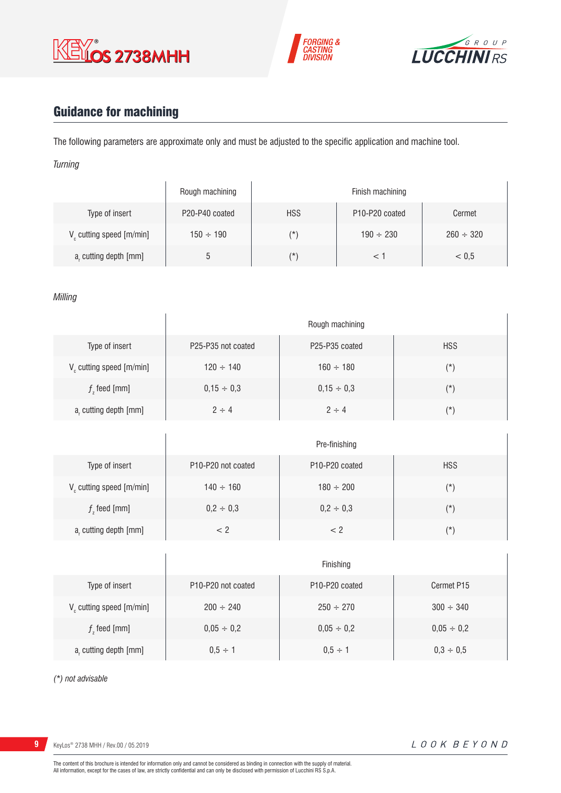





# Guidance for machining

The following parameters are approximate only and must be adjusted to the specific application and machine tool.

*Turning*

|                                      | Rough machining                         |            | Finish machining                        |                |
|--------------------------------------|-----------------------------------------|------------|-----------------------------------------|----------------|
| Type of insert                       | P <sub>20</sub> -P <sub>40</sub> coated | <b>HSS</b> | P <sub>10</sub> -P <sub>20</sub> coated | Cermet         |
| V <sub>c</sub> cutting speed [m/min] | $150 \div 190$                          | $(\star)$  | $190 \div 230$                          | $260 \div 320$ |
| a, cutting depth [mm]                |                                         | $(\star)$  |                                         | < 0.5          |

*Milling*

|                             | Rough machining    |                                         |            |  |  |  |  |  |
|-----------------------------|--------------------|-----------------------------------------|------------|--|--|--|--|--|
| Type of insert              | P25-P35 not coated | P <sub>25</sub> -P <sub>35</sub> coated | <b>HSS</b> |  |  |  |  |  |
| $V_c$ cutting speed [m/min] | $120 \div 140$     | $160 \div 180$                          | $(\star)$  |  |  |  |  |  |
| $fz$ feed [mm]              | $0,15 \div 0,3$    | $0,15 \div 0,3$                         | $(*)$      |  |  |  |  |  |
| a, cutting depth [mm]       | $2 \div 4$         | $2 \div 4$                              | $(\star)$  |  |  |  |  |  |

|                         | Pre-finishing                                      |                                         |            |  |  |  |  |  |
|-------------------------|----------------------------------------------------|-----------------------------------------|------------|--|--|--|--|--|
| Type of insert          | P <sub>10</sub> -P <sub>20</sub> not coated        | P <sub>10</sub> -P <sub>20</sub> coated | <b>HSS</b> |  |  |  |  |  |
| V cutting speed [m/min] | $140 \div 160$                                     | $180 \div 200$                          | (*)        |  |  |  |  |  |
| $f$ , feed [mm]         | $0,2 \div 0,3$                                     | $0,2 \div 0,3$                          | $(\star)$  |  |  |  |  |  |
| $ar$ cutting depth [mm] | </td <td>&lt; 2</td> <td><math>(\star)</math></td> | < 2                                     | $(\star)$  |  |  |  |  |  |

|                                      | Finishing                                   |                                         |                 |  |  |  |  |
|--------------------------------------|---------------------------------------------|-----------------------------------------|-----------------|--|--|--|--|
| Type of insert                       | P <sub>10</sub> -P <sub>20</sub> not coated | P <sub>10</sub> -P <sub>20</sub> coated | Cermet P15      |  |  |  |  |
| V <sub>c</sub> cutting speed [m/min] | $200 \div 240$                              | $250 \div 270$                          | $300 \div 340$  |  |  |  |  |
| $f$ , feed [mm]                      | $0,05 \div 0,2$                             | $0,05 \div 0,2$                         | $0,05 \div 0,2$ |  |  |  |  |
| a, cutting depth [mm]                | $0.5 \div 1$                                | $0.5 \div 1$                            | $0,3 \div 0,5$  |  |  |  |  |

*(\*) not advisable*

**9** KeyLos<sup>®</sup> 2738 MHH / Rev.00 / 05.2019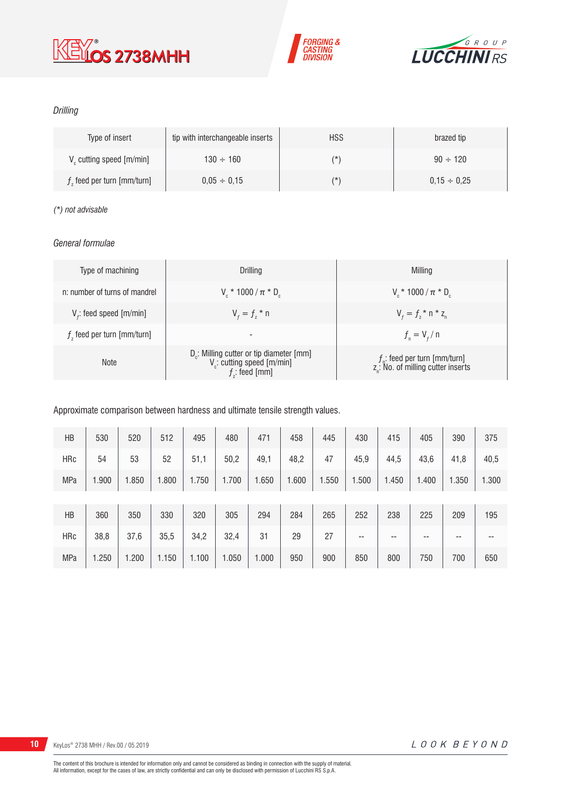





## *Drilling*

| Type of insert               | tip with interchangeable inserts | <b>HSS</b> | brazed tip       |
|------------------------------|----------------------------------|------------|------------------|
| V cutting speed [m/min]      | $130 \div 160$                   | (*)        | $90 \div 120$    |
| $fz$ feed per turn [mm/turn] | $0.05 \div 0.15$                 | $(\star)$  | $0.15 \div 0.25$ |

## *(\*) not advisable*

## *General formulae*

| Type of machining             | Drilling                                                                                                          | Milling                                                                             |
|-------------------------------|-------------------------------------------------------------------------------------------------------------------|-------------------------------------------------------------------------------------|
| n: number of turns of mandrel | $V_r * 1000 / \pi * D_r$                                                                                          | $V_r * 1000 / \pi * D_r$                                                            |
| $V_f$ : feed speed [m/min]    | $V_{f} = f_{7}$ * n                                                                                               | $V_{f} = f_{i} * n * z_{n}$                                                         |
| $fz$ feed per turn [mm/turn]  | $\overline{\phantom{a}}$                                                                                          | $f_{n} = V_{f} / n$                                                                 |
| <b>Note</b>                   | D <sub>r</sub> : Milling cutter or tip diameter [mm]<br>V <sub>c</sub> : cutting speed [m/min]<br>$f$ ; feed [mm] | $f_{n}$ : feed per turn [mm/turn]<br>z <sub>n</sub> : No. of milling cutter inserts |

## Approximate comparison between hardness and ultimate tensile strength values.

| HB         | 530   | 520   | 512   | 495   | 480   | 471   | 458   | 445   | 430   | 415   | 405   | 390   | 375   |
|------------|-------|-------|-------|-------|-------|-------|-------|-------|-------|-------|-------|-------|-------|
| <b>HRc</b> | 54    | 53    | 52    | 51,1  | 50,2  | 49,1  | 48,2  | 47    | 45,9  | 44,5  | 43,6  | 41,8  | 40,5  |
| <b>MPa</b> | 1.900 | 1.850 | 1.800 | 1.750 | 1.700 | 1.650 | 1.600 | 1.550 | 1.500 | 1.450 | 1.400 | 1.350 | 1.300 |
|            |       |       |       |       |       |       |       |       |       |       |       |       |       |
| HB         | 360   | 350   | 330   | 320   | 305   | 294   | 284   | 265   | 252   | 238   | 225   | 209   | 195   |
| <b>HRc</b> | 38,8  | 37,6  | 35,5  | 34,2  | 32,4  | 31    | 29    | 27    | --    | --    | --    | --    | --    |
| <b>MPa</b> | 1.250 | 1.200 | 1.150 | 1.100 | 1.050 | 1.000 | 950   | 900   | 850   | 800   | 750   | 700   | 650   |